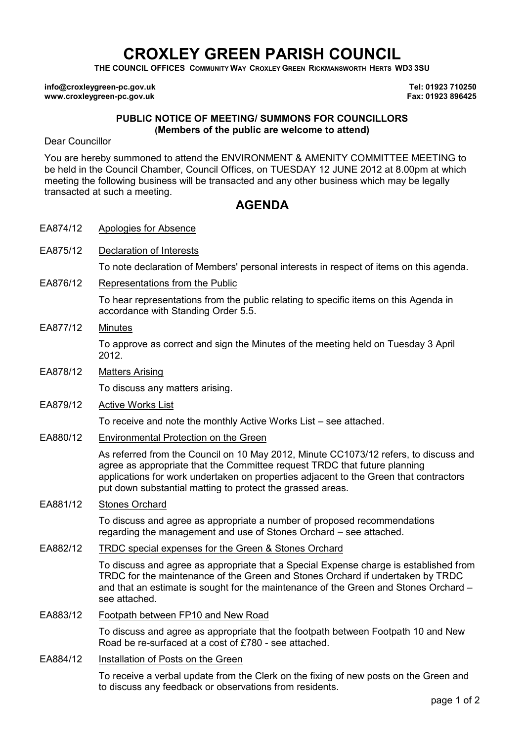## CROXLEY GREEN PARISH COUNCIL

THE COUNCIL OFFICES COMMUNITY WAY CROXLEY GREEN RICKMANSWORTH HERTS WD3 3SU

info@croxleygreen-pc.gov.uk www.croxleygreen-pc.gov.uk

Tel: 01923 710250 Fax: 01923 896425

## PUBLIC NOTICE OF MEETING/ SUMMONS FOR COUNCILLORS (Members of the public are welcome to attend)

Dear Councillor

You are hereby summoned to attend the ENVIRONMENT & AMENITY COMMITTEE MEETING to be held in the Council Chamber, Council Offices, on TUESDAY 12 JUNE 2012 at 8.00pm at which meeting the following business will be transacted and any other business which may be legally transacted at such a meeting.

## AGENDA

- EA874/12 Apologies for Absence
- EA875/12 Declaration of Interests

To note declaration of Members' personal interests in respect of items on this agenda.

EA876/12 Representations from the Public

To hear representations from the public relating to specific items on this Agenda in accordance with Standing Order 5.5.

EA877/12 Minutes

To approve as correct and sign the Minutes of the meeting held on Tuesday 3 April 2012.

EA878/12 Matters Arising

To discuss any matters arising.

EA879/12 Active Works List

To receive and note the monthly Active Works List – see attached.

EA880/12 Environmental Protection on the Green

As referred from the Council on 10 May 2012, Minute CC1073/12 refers, to discuss and agree as appropriate that the Committee request TRDC that future planning applications for work undertaken on properties adjacent to the Green that contractors put down substantial matting to protect the grassed areas.

EA881/12 Stones Orchard

To discuss and agree as appropriate a number of proposed recommendations regarding the management and use of Stones Orchard – see attached.

EA882/12 TRDC special expenses for the Green & Stones Orchard

To discuss and agree as appropriate that a Special Expense charge is established from TRDC for the maintenance of the Green and Stones Orchard if undertaken by TRDC and that an estimate is sought for the maintenance of the Green and Stones Orchard – see attached.

- EA883/12 Footpath between FP10 and New Road To discuss and agree as appropriate that the footpath between Footpath 10 and New Road be re-surfaced at a cost of £780 - see attached.
- EA884/12 Installation of Posts on the Green To receive a verbal update from the Clerk on the fixing of new posts on the Green and to discuss any feedback or observations from residents.